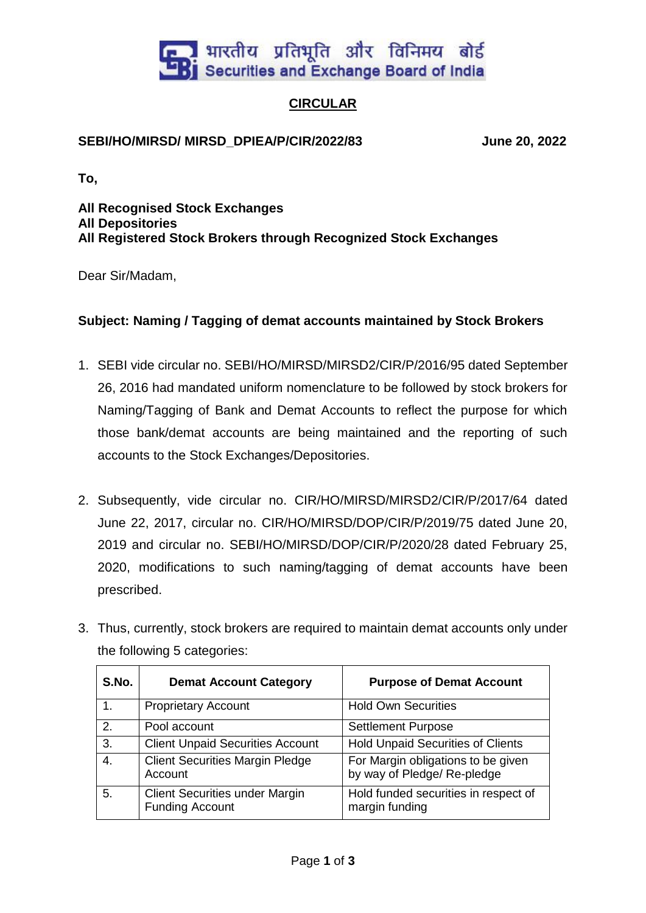

## **CIRCULAR**

## **SEBI/HO/MIRSD/ MIRSD\_DPIEA/P/CIR/2022/83 June 20, 2022**

**To,**

**All Recognised Stock Exchanges All Depositories All Registered Stock Brokers through Recognized Stock Exchanges**

Dear Sir/Madam,

## **Subject: Naming / Tagging of demat accounts maintained by Stock Brokers**

- 1. SEBI vide circular no. SEBI/HO/MIRSD/MIRSD2/CIR/P/2016/95 dated September 26, 2016 had mandated uniform nomenclature to be followed by stock brokers for Naming/Tagging of Bank and Demat Accounts to reflect the purpose for which those bank/demat accounts are being maintained and the reporting of such accounts to the Stock Exchanges/Depositories.
- 2. Subsequently, vide circular no. CIR/HO/MIRSD/MIRSD2/CIR/P/2017/64 dated June 22, 2017, circular no. CIR/HO/MIRSD/DOP/CIR/P/2019/75 dated June 20, 2019 and circular no. SEBI/HO/MIRSD/DOP/CIR/P/2020/28 dated February 25, 2020, modifications to such naming/tagging of demat accounts have been prescribed.
- 3. Thus, currently, stock brokers are required to maintain demat accounts only under the following 5 categories:

| S.No. | <b>Demat Account Category</b>                                   | <b>Purpose of Demat Account</b>                                   |
|-------|-----------------------------------------------------------------|-------------------------------------------------------------------|
|       | <b>Proprietary Account</b>                                      | <b>Hold Own Securities</b>                                        |
| 2.    | Pool account                                                    | <b>Settlement Purpose</b>                                         |
| 3.    | <b>Client Unpaid Securities Account</b>                         | <b>Hold Unpaid Securities of Clients</b>                          |
| 4.    | <b>Client Securities Margin Pledge</b><br>Account               | For Margin obligations to be given<br>by way of Pledge/ Re-pledge |
| 5.    | <b>Client Securities under Margin</b><br><b>Funding Account</b> | Hold funded securities in respect of<br>margin funding            |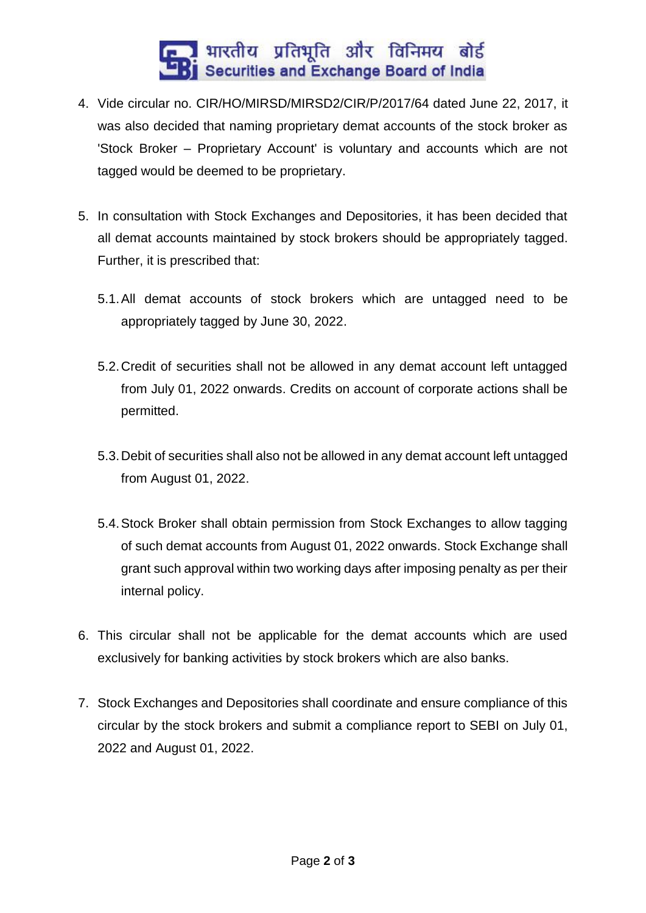## ।<br>| भारतीय प्रतिभूति और विनिमय बोर्ड<br>| Securities and Exchange Board of India

- 4. Vide circular no. CIR/HO/MIRSD/MIRSD2/CIR/P/2017/64 dated June 22, 2017, it was also decided that naming proprietary demat accounts of the stock broker as 'Stock Broker – Proprietary Account' is voluntary and accounts which are not tagged would be deemed to be proprietary.
- 5. In consultation with Stock Exchanges and Depositories, it has been decided that all demat accounts maintained by stock brokers should be appropriately tagged. Further, it is prescribed that:
	- 5.1.All demat accounts of stock brokers which are untagged need to be appropriately tagged by June 30, 2022.
	- 5.2.Credit of securities shall not be allowed in any demat account left untagged from July 01, 2022 onwards. Credits on account of corporate actions shall be permitted.
	- 5.3.Debit of securities shall also not be allowed in any demat account left untagged from August 01, 2022.
	- 5.4.Stock Broker shall obtain permission from Stock Exchanges to allow tagging of such demat accounts from August 01, 2022 onwards. Stock Exchange shall grant such approval within two working days after imposing penalty as per their internal policy.
- 6. This circular shall not be applicable for the demat accounts which are used exclusively for banking activities by stock brokers which are also banks.
- 7. Stock Exchanges and Depositories shall coordinate and ensure compliance of this circular by the stock brokers and submit a compliance report to SEBI on July 01, 2022 and August 01, 2022.